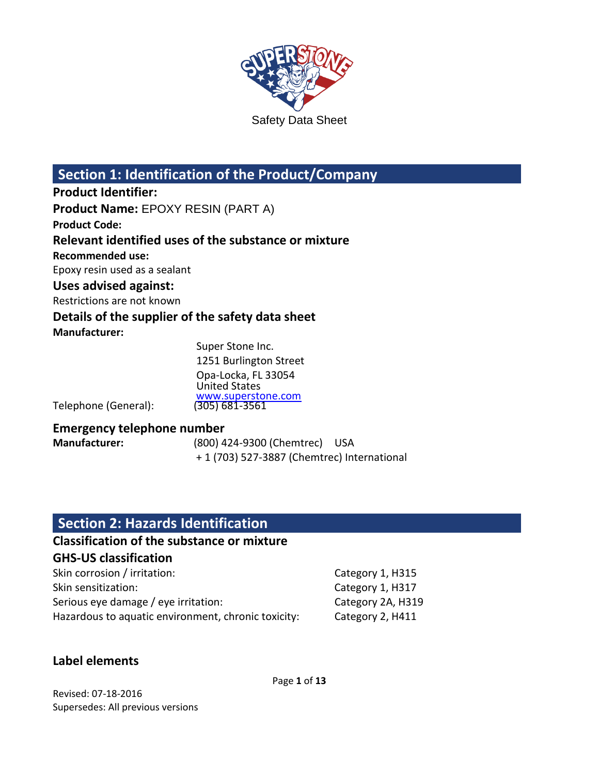

# **Section 1: Identification of the Product/Company**

**Product Identifier:**

**Product Name:** EPOXY RESIN (PART A)

**Product Code:**

# **Relevant identified uses of the substance or mixture**

**Recommended use:**

Epoxy resin used as a sealant

### **Uses advised against:**

Restrictions are not known

# **Details of the supplier of the safety data sheet**

**Manufacturer:** 

Super Stone Inc. 1251 Burlington Street Opa-Locka, FL 33054 United States [www.superstone.com](http://www.superstone.com/)<br>(305) 681-3561

Telephone (General):

# **Emergency telephone number**

**Manufacturer:** (800) 424-9300 (Chemtrec) USA + 1 (703) 527-3887 (Chemtrec) International

# **Section 2: Hazards Identification**

# **Classification of the substance or mixture**

### **GHS-US classification**

| Skin corrosion / irritation:                        | Category 1, H315  |
|-----------------------------------------------------|-------------------|
| Skin sensitization:                                 | Category 1, H317  |
| Serious eye damage / eye irritation:                | Category 2A, H319 |
| Hazardous to aquatic environment, chronic toxicity: | Category 2, H411  |

# **Label elements**

Page **1** of **13**

Revised: 07-18-2016 Supersedes: All previous versions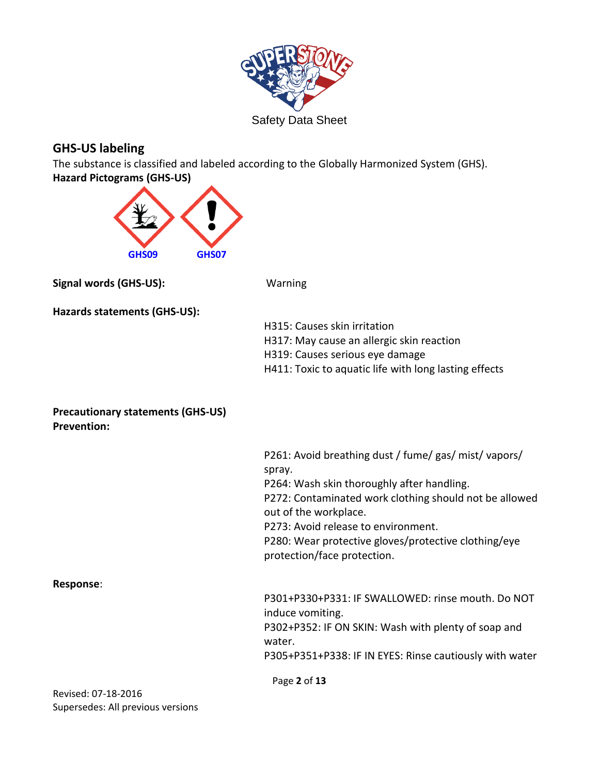

# **GHS-US labeling**

The substance is classified and labeled according to the Globally Harmonized System (GHS). **Hazard Pictograms (GHS-US)**



**Signal words (GHS-US):** Warning

**Hazards statements (GHS-US):**

H315: Causes skin irritation H317: May cause an allergic skin reaction H319: Causes serious eye damage H411: Toxic to aquatic life with long lasting effects

#### **Precautionary statements (GHS-US) Prevention:**

P261: Avoid breathing dust / fume/ gas/ mist/ vapors/ spray. P264: Wash skin thoroughly after handling. P272: Contaminated work clothing should not be allowed out of the workplace. P273: Avoid release to environment.

P280: Wear protective gloves/protective clothing/eye protection/face protection.

**Response**: P301+P330+P331: IF SWALLOWED: rinse mouth. Do NOT induce vomiting. P302+P352: IF ON SKIN: Wash with plenty of soap and water. P305+P351+P338: IF IN EYES: Rinse cautiously with water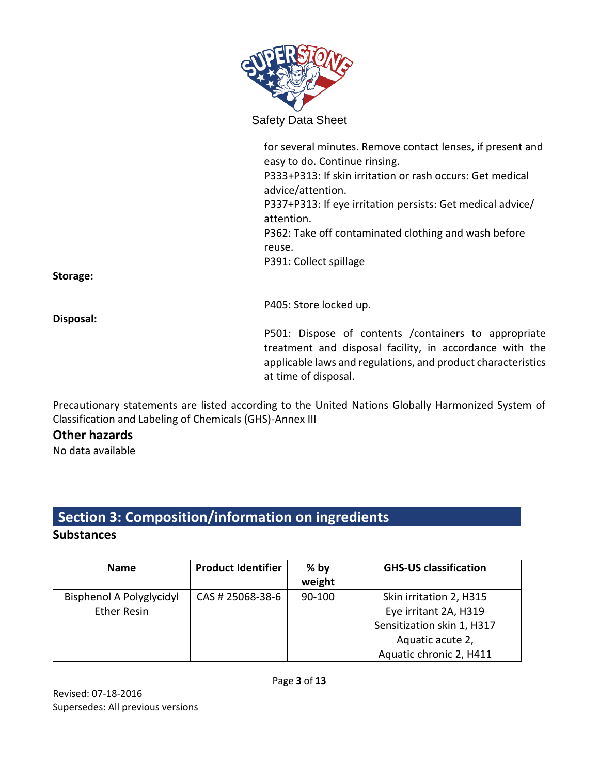

for several minutes. Remove contact lenses, if present and easy to do. Continue rinsing. P333+P313: If skin irritation or rash occurs: Get medical advice/attention. P337+P313: If eye irritation persists: Get medical advice/ attention. P362: Take off contaminated clothing and wash before reuse. P391: Collect spillage

**Storage:** 

**Disposal:** 

P405: Store locked up.

P501: Dispose of contents /containers to appropriate treatment and disposal facility, in accordance with the applicable laws and regulations, and product characteristics at time of disposal.

Precautionary statements are listed according to the United Nations Globally Harmonized System of Classification and Labeling of Chemicals (GHS)-Annex III

### **Other hazards**

No data available

# **Section 3: Composition/information on ingredients**

### **Substances**

| <b>Name</b>                                    | <b>Product Identifier</b> | $%$ by<br>weight | <b>GHS-US classification</b>                                                                                                  |
|------------------------------------------------|---------------------------|------------------|-------------------------------------------------------------------------------------------------------------------------------|
| Bisphenol A Polyglycidyl<br><b>Ether Resin</b> | CAS # 25068-38-6          | 90-100           | Skin irritation 2, H315<br>Eye irritant 2A, H319<br>Sensitization skin 1, H317<br>Aquatic acute 2,<br>Aquatic chronic 2, H411 |

Page **3** of **13**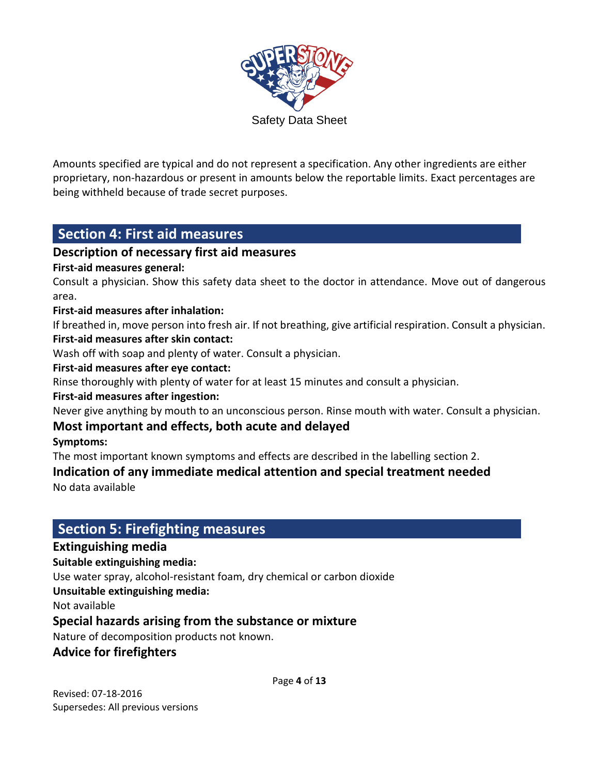

Amounts specified are typical and do not represent a specification. Any other ingredients are either proprietary, non-hazardous or present in amounts below the reportable limits. Exact percentages are being withheld because of trade secret purposes.

# **Section 4: First aid measures**

# **Description of necessary first aid measures**

#### **First-aid measures general:**

Consult a physician. Show this safety data sheet to the doctor in attendance. Move out of dangerous area.

### **First-aid measures after inhalation:**

If breathed in, move person into fresh air. If not breathing, give artificial respiration. Consult a physician. **First-aid measures after skin contact:**

Wash off with soap and plenty of water. Consult a physician.

#### **First-aid measures after eye contact:**

Rinse thoroughly with plenty of water for at least 15 minutes and consult a physician.

### **First-aid measures after ingestion:**

Never give anything by mouth to an unconscious person. Rinse mouth with water. Consult a physician.

# **Most important and effects, both acute and delayed**

### **Symptoms:**

The most important known symptoms and effects are described in the labelling section 2.

# **Indication of any immediate medical attention and special treatment needed** No data available

# **Section 5: Firefighting measures**

### **Extinguishing media**

### **Suitable extinguishing media:**

Use water spray, alcohol-resistant foam, dry chemical or carbon dioxide

### **Unsuitable extinguishing media:**

Not available

# **Special hazards arising from the substance or mixture**

Nature of decomposition products not known.

# **Advice for firefighters**

Page **4** of **13**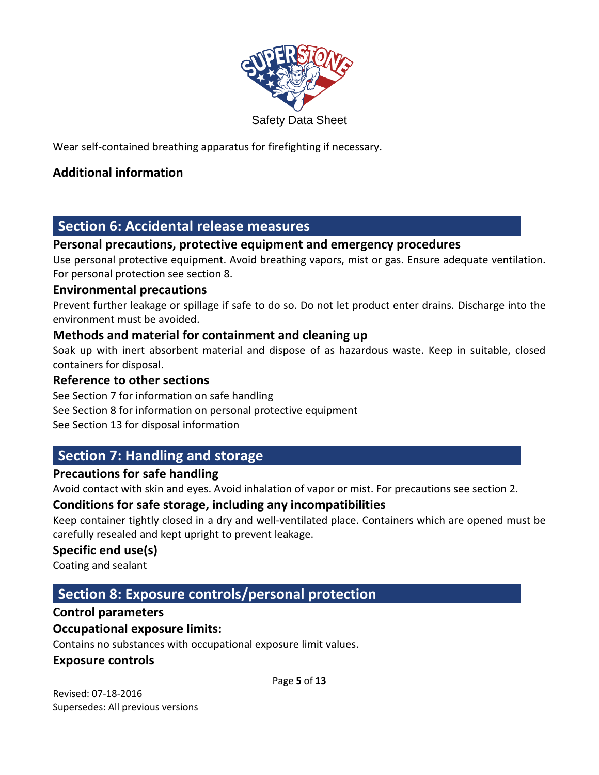

Wear self-contained breathing apparatus for firefighting if necessary.

# **Additional information**

# **Section 6: Accidental release measures**

### **Personal precautions, protective equipment and emergency procedures**

Use personal protective equipment. Avoid breathing vapors, mist or gas. Ensure adequate ventilation. For personal protection see section 8.

### **Environmental precautions**

Prevent further leakage or spillage if safe to do so. Do not let product enter drains. Discharge into the environment must be avoided.

### **Methods and material for containment and cleaning up**

Soak up with inert absorbent material and dispose of as hazardous waste. Keep in suitable, closed containers for disposal.

### **Reference to other sections**

See Section 7 for information on safe handling See Section 8 for information on personal protective equipment See Section 13 for disposal information

# **Section 7: Handling and storage**

# **Precautions for safe handling**

Avoid contact with skin and eyes. Avoid inhalation of vapor or mist. For precautions see section 2.

# **Conditions for safe storage, including any incompatibilities**

Keep container tightly closed in a dry and well-ventilated place. Containers which are opened must be carefully resealed and kept upright to prevent leakage.

# **Specific end use(s)**

Coating and sealant

# **Section 8: Exposure controls/personal protection**

### **Control parameters**

# **Occupational exposure limits:**

Contains no substances with occupational exposure limit values.

### **Exposure controls**

Page **5** of **13**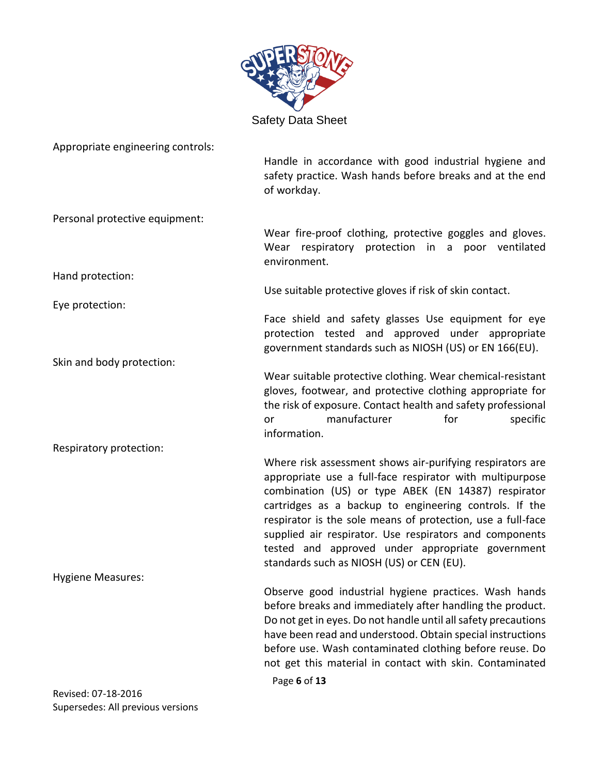

| Appropriate engineering controls:                   | Handle in accordance with good industrial hygiene and<br>safety practice. Wash hands before breaks and at the end<br>of workday.                                                                                                                                                                                                                                                                                                                                  |
|-----------------------------------------------------|-------------------------------------------------------------------------------------------------------------------------------------------------------------------------------------------------------------------------------------------------------------------------------------------------------------------------------------------------------------------------------------------------------------------------------------------------------------------|
| Personal protective equipment:<br>Hand protection:  | Wear fire-proof clothing, protective goggles and gloves.<br>Wear respiratory protection in a poor ventilated<br>environment.                                                                                                                                                                                                                                                                                                                                      |
|                                                     | Use suitable protective gloves if risk of skin contact.                                                                                                                                                                                                                                                                                                                                                                                                           |
| Eye protection:                                     | Face shield and safety glasses Use equipment for eye<br>protection tested and approved under appropriate<br>government standards such as NIOSH (US) or EN 166(EU).                                                                                                                                                                                                                                                                                                |
| Skin and body protection:                           | Wear suitable protective clothing. Wear chemical-resistant<br>gloves, footwear, and protective clothing appropriate for<br>the risk of exposure. Contact health and safety professional<br>manufacturer<br>for<br>specific<br>or<br>information.                                                                                                                                                                                                                  |
| Respiratory protection:<br><b>Hygiene Measures:</b> | Where risk assessment shows air-purifying respirators are<br>appropriate use a full-face respirator with multipurpose<br>combination (US) or type ABEK (EN 14387) respirator<br>cartridges as a backup to engineering controls. If the<br>respirator is the sole means of protection, use a full-face<br>supplied air respirator. Use respirators and components<br>tested and approved under appropriate government<br>standards such as NIOSH (US) or CEN (EU). |
|                                                     | Observe good industrial hygiene practices. Wash hands<br>before breaks and immediately after handling the product.<br>Do not get in eyes. Do not handle until all safety precautions<br>have been read and understood. Obtain special instructions<br>before use. Wash contaminated clothing before reuse. Do<br>not get this material in contact with skin. Contaminated<br>Page 6 of 13                                                                         |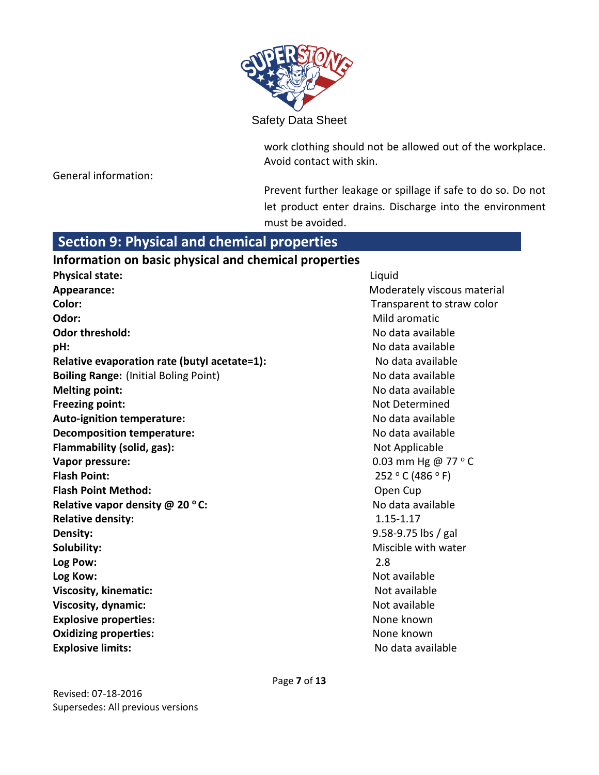

work clothing should not be allowed out of the workplace. Avoid contact with skin.

General information:

Prevent further leakage or spillage if safe to do so. Do not let product enter drains. Discharge into the environment must be avoided.

# **Section 9: Physical and chemical properties**

| Information on basic physical and chemical properties |                        |
|-------------------------------------------------------|------------------------|
| <b>Physical state:</b>                                | Liquid                 |
| Appearance:                                           | Moderatel              |
| Color:                                                | Transpare              |
| Odor:                                                 | Mild arom              |
| <b>Odor threshold:</b>                                | No data av             |
| pH:                                                   | No data av             |
| Relative evaporation rate (butyl acetate=1):          | No data a              |
| <b>Boiling Range: (Initial Boling Point)</b>          | No data av             |
| <b>Melting point:</b>                                 | No data av             |
| <b>Freezing point:</b>                                | Not Deter              |
| <b>Auto-ignition temperature:</b>                     | No data av             |
| <b>Decomposition temperature:</b>                     | No data av             |
| Flammability (solid, gas):                            | Not Applio             |
| Vapor pressure:                                       | $0.03$ mm $\mathsf{h}$ |
| <b>Flash Point:</b>                                   | 252 ° C (4             |
| <b>Flash Point Method:</b>                            | Open Cup               |
| Relative vapor density @ 20 $^{\circ}$ C:             | No data av             |
| <b>Relative density:</b>                              | 1.15-1.17              |
| Density:                                              | 9.58-9.75              |
| Solubility:                                           | Miscible w             |
| Log Pow:                                              | 2.8                    |
| Log Kow:                                              | Not availa             |
| <b>Viscosity, kinematic:</b>                          | Not availa             |
| <b>Viscosity, dynamic:</b>                            | Not availa             |
| <b>Explosive properties:</b>                          | None kno               |
| <b>Oxidizing properties:</b>                          | None kno               |
| <b>Explosive limits:</b>                              | No data a              |

**Appearance:** Moderately viscous material Transparent to straw color **Odor:** Mild aromatic **Odor threshold:** No data available **pH:** No data available **No data available No data available Melting point:** No data available **Not Determined Auto-ignition temperature:** No data available **Decomposition temperature:** No data available **Not Applicable Vapor pressure:** 0.03 mm Hg @ 77 <sup>o</sup> C **Flash Point:** 252 <sup>o</sup> C (486 <sup>o</sup> F) **Open Cup Relative vapor density @ 20 <sup>o</sup> C:** No data available **Density:** 9.58-9.75 lbs / gal **Miscible with water Log Kow:** Not available **Not available Not available Explosive properties:** None known **None known Explosive limits:** No data available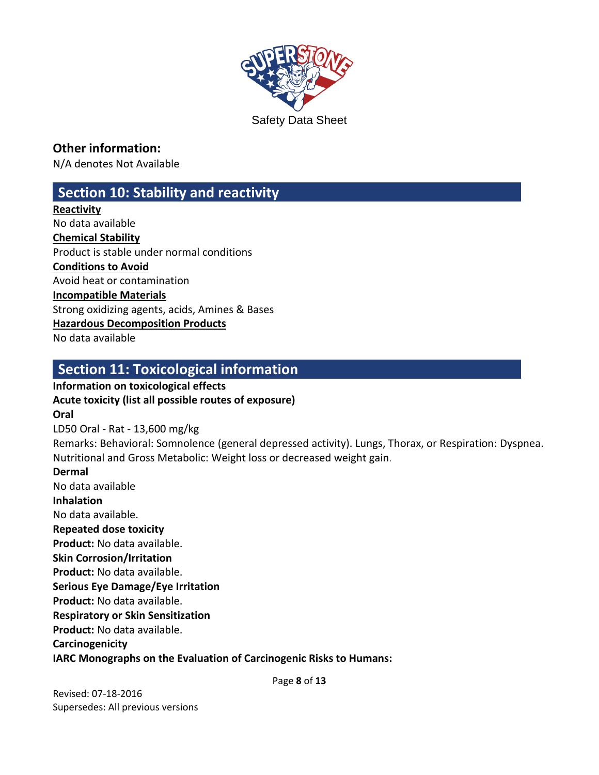

### **Other information:**

N/A denotes Not Available

# **Section 10: Stability and reactivity**

**Reactivity** No data available **Chemical Stability** Product is stable under normal conditions **Conditions to Avoid**  Avoid heat or contamination **Incompatible Materials** Strong oxidizing agents, acids, Amines & Bases **Hazardous Decomposition Products** No data available

# **Section 11: Toxicological information**

**Information on toxicological effects Acute toxicity (list all possible routes of exposure) Oral** LD50 Oral - Rat - 13,600 mg/kg Remarks: Behavioral: Somnolence (general depressed activity). Lungs, Thorax, or Respiration: Dyspnea. Nutritional and Gross Metabolic: Weight loss or decreased weight gain. **Dermal** No data available **Inhalation** No data available. **Repeated dose toxicity Product:** No data available. **Skin Corrosion/Irritation Product:** No data available. **Serious Eye Damage/Eye Irritation Product:** No data available. **Respiratory or Skin Sensitization Product:** No data available. **Carcinogenicity IARC Monographs on the Evaluation of Carcinogenic Risks to Humans:**

Page **8** of **13**

Revised: 07-18-2016 Supersedes: All previous versions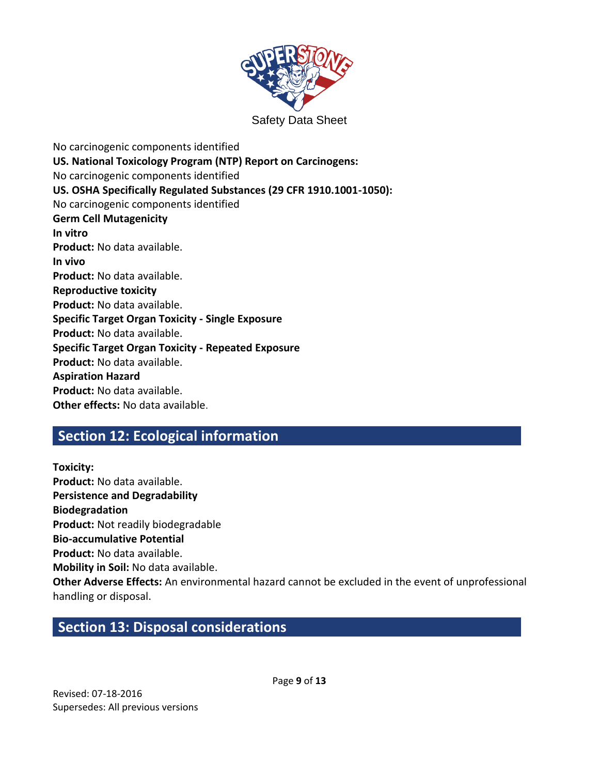

No carcinogenic components identified **US. National Toxicology Program (NTP) Report on Carcinogens:** No carcinogenic components identified **US. OSHA Specifically Regulated Substances (29 CFR 1910.1001-1050):** No carcinogenic components identified **Germ Cell Mutagenicity In vitro Product:** No data available. **In vivo Product:** No data available. **Reproductive toxicity Product:** No data available. **Specific Target Organ Toxicity - Single Exposure Product:** No data available. **Specific Target Organ Toxicity - Repeated Exposure Product:** No data available. **Aspiration Hazard Product:** No data available. **Other effects:** No data available.

# **Section 12: Ecological information**

**Toxicity: Product:** No data available. **Persistence and Degradability Biodegradation Product:** Not readily biodegradable **Bio-accumulative Potential Product:** No data available. **Mobility in Soil:** No data available. **Other Adverse Effects:** An environmental hazard cannot be excluded in the event of unprofessional handling or disposal.

# **Section 13: Disposal considerations**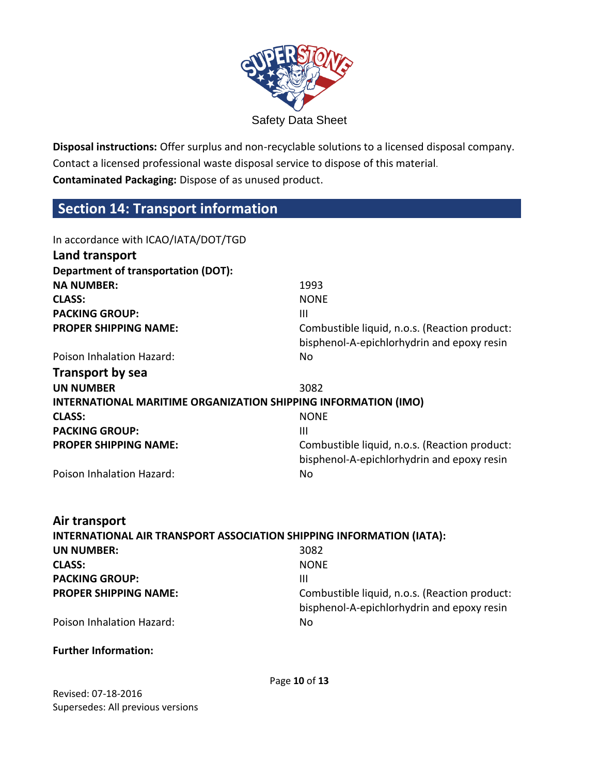

**Disposal instructions:** Offer surplus and non-recyclable solutions to a licensed disposal company. Contact a licensed professional waste disposal service to dispose of this material. **Contaminated Packaging:** Dispose of as unused product.

# **Section 14: Transport information**

| In accordance with ICAO/IATA/DOT/TGD                                 |                                                                                             |
|----------------------------------------------------------------------|---------------------------------------------------------------------------------------------|
| Land transport                                                       |                                                                                             |
| <b>Department of transportation (DOT):</b>                           |                                                                                             |
| <b>NA NUMBER:</b>                                                    | 1993                                                                                        |
| <b>CLASS:</b>                                                        | <b>NONE</b>                                                                                 |
| <b>PACKING GROUP:</b>                                                | Ш                                                                                           |
| <b>PROPER SHIPPING NAME:</b>                                         | Combustible liquid, n.o.s. (Reaction product:<br>bisphenol-A-epichlorhydrin and epoxy resin |
| Poison Inhalation Hazard:                                            | No                                                                                          |
| <b>Transport by sea</b>                                              |                                                                                             |
| <b>UN NUMBER</b>                                                     | 3082                                                                                        |
| INTERNATIONAL MARITIME ORGANIZATION SHIPPING INFORMATION (IMO)       |                                                                                             |
| <b>CLASS:</b>                                                        | <b>NONE</b>                                                                                 |
| <b>PACKING GROUP:</b>                                                | Ш                                                                                           |
| <b>PROPER SHIPPING NAME:</b>                                         | Combustible liquid, n.o.s. (Reaction product:<br>bisphenol-A-epichlorhydrin and epoxy resin |
| Poison Inhalation Hazard:                                            | No                                                                                          |
| Air transport                                                        |                                                                                             |
| INTERNATIONAL AIR TRANSPORT ASSOCIATION SHIPPING INFORMATION (IATA): |                                                                                             |
| <b>UN NUMBER:</b>                                                    | 3082                                                                                        |
| <b>CLASS:</b>                                                        | <b>NONE</b>                                                                                 |
| <b>PACKING GROUP:</b>                                                | Ш                                                                                           |
| DDADED CHIDDING NANAE.                                               | Cambustible liquid n a c (Boastian productu                                                 |

**PROPER SHIPPING NAME:** Combustible liquid, n.o.s. (Reaction product: bisphenol-A-epichlorhydrin and epoxy resin Poison Inhalation Hazard: No

**Further Information:**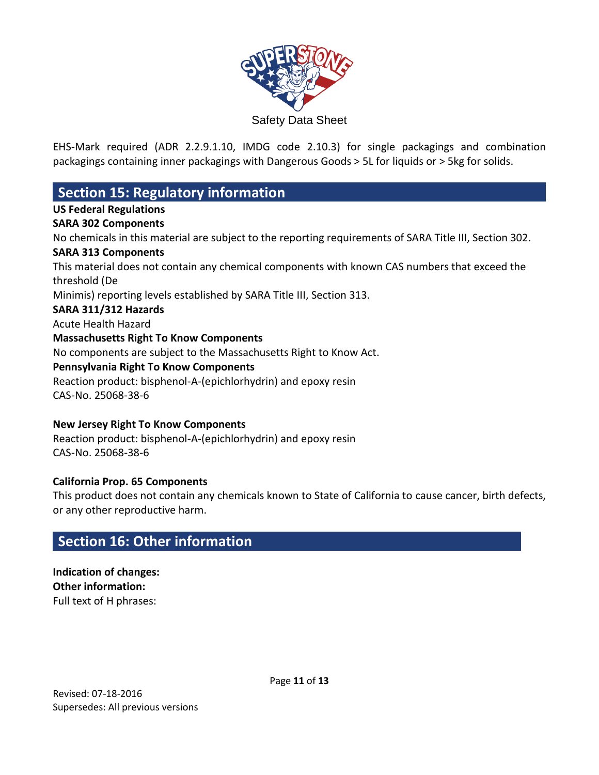

EHS-Mark required (ADR 2.2.9.1.10, IMDG code 2.10.3) for single packagings and combination packagings containing inner packagings with Dangerous Goods > 5L for liquids or > 5kg for solids.

# **Section 15: Regulatory information**

**US Federal Regulations SARA 302 Components** No chemicals in this material are subject to the reporting requirements of SARA Title III, Section 302. **SARA 313 Components** This material does not contain any chemical components with known CAS numbers that exceed the threshold (De Minimis) reporting levels established by SARA Title III, Section 313. **SARA 311/312 Hazards** Acute Health Hazard **Massachusetts Right To Know Components** No components are subject to the Massachusetts Right to Know Act. **Pennsylvania Right To Know Components** Reaction product: bisphenol-A-(epichlorhydrin) and epoxy resin CAS-No. 25068-38-6

### **New Jersey Right To Know Components**

Reaction product: bisphenol-A-(epichlorhydrin) and epoxy resin CAS-No. 25068-38-6

### **California Prop. 65 Components**

This product does not contain any chemicals known to State of California to cause cancer, birth defects, or any other reproductive harm.

# **Section 16: Other information**

**Indication of changes: Other information:** Full text of H phrases:

Page **11** of **13**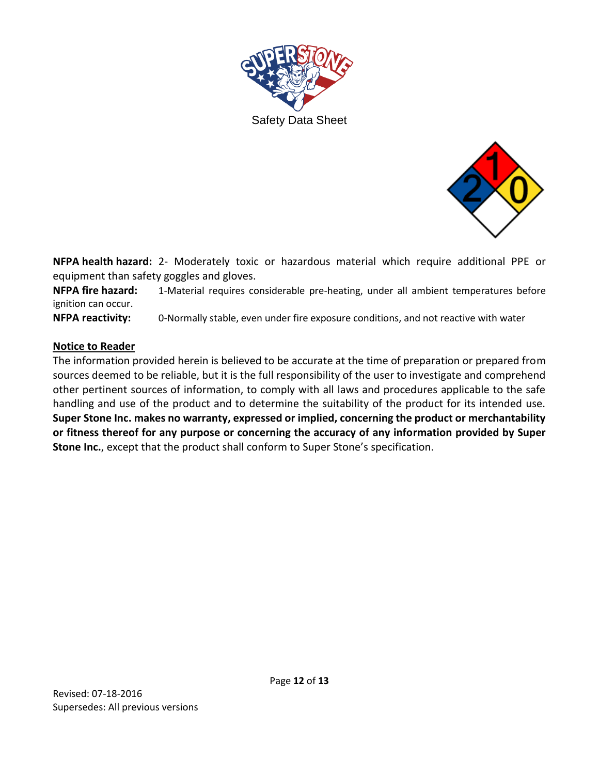



**NFPA health hazard:** 2- Moderately toxic or hazardous material which require additional PPE or equipment than safety goggles and gloves.

**NFPA fire hazard:** 1-Material requires considerable pre-heating, under all ambient temperatures before ignition can occur.

**NFPA reactivity:** 0-Normally stable, even under fire exposure conditions, and not reactive with water

### **Notice to Reader**

The information provided herein is believed to be accurate at the time of preparation or prepared from sources deemed to be reliable, but it is the full responsibility of the user to investigate and comprehend other pertinent sources of information, to comply with all laws and procedures applicable to the safe handling and use of the product and to determine the suitability of the product for its intended use. **Super Stone Inc. makes no warranty, expressed or implied, concerning the product or merchantability or fitness thereof for any purpose or concerning the accuracy of any information provided by Super Stone Inc.**, except that the product shall conform to Super Stone's specification.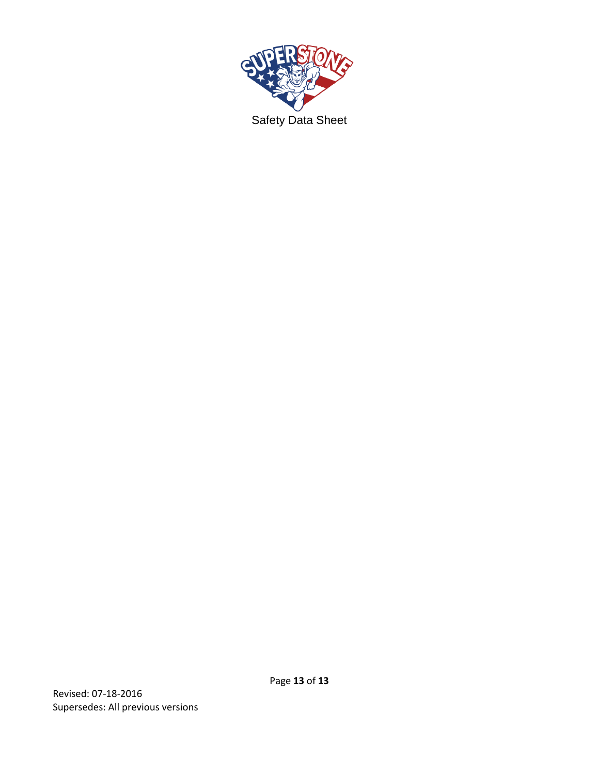

Page **13** of **13**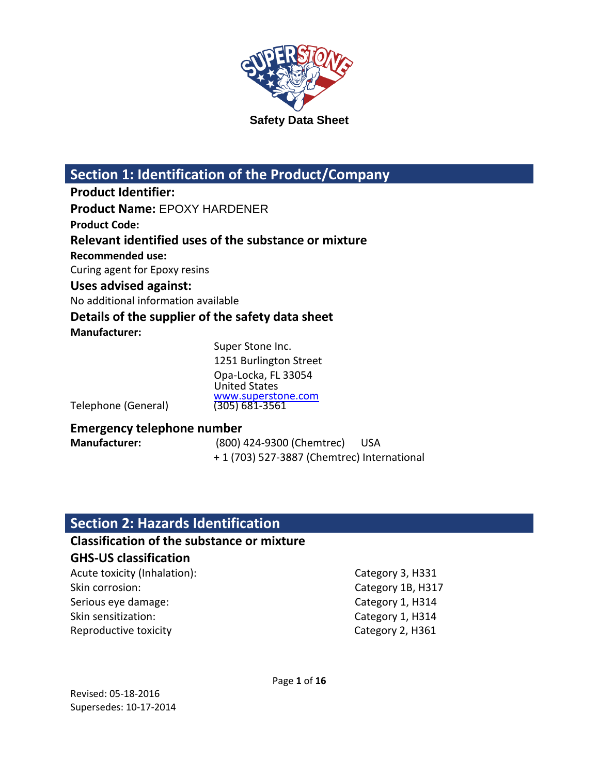

# **Section 1: Identification of the Product/Company**

**Product Identifier: Product Name:** EPOXY HARDENER **Product Code: Relevant identified uses of the substance or mixture Recommended use:** Curing agent for Epoxy resins **Uses advised against:** No additional information available **Details of the supplier of the safety data sheet Manufacturer:**  Super Stone Inc. 1251 Burlington Street

Opa-Locka, FL 33054 United States [www.superstone.com](http://www.superstone.com/)<br>(305) 681-3561

Telephone (General)

# **Emergency telephone number**<br>**Manufacturer:** (800)

**Manufacturer:** (800) 424-9300 (Chemtrec) USA + 1 (703) 527-3887 (Chemtrec) International

# **Section 2: Hazards Identification**

# **Classification of the substance or mixture**

# **GHS-US classification**

Acute toxicity (Inhalation): Category 3, H331 Skin corrosion: Category 1B, H317 Serious eye damage: Category 1, H314 Skin sensitization: Category 1, H314 Reproductive toxicity **Category 2, H361** 

Page **1** of **16**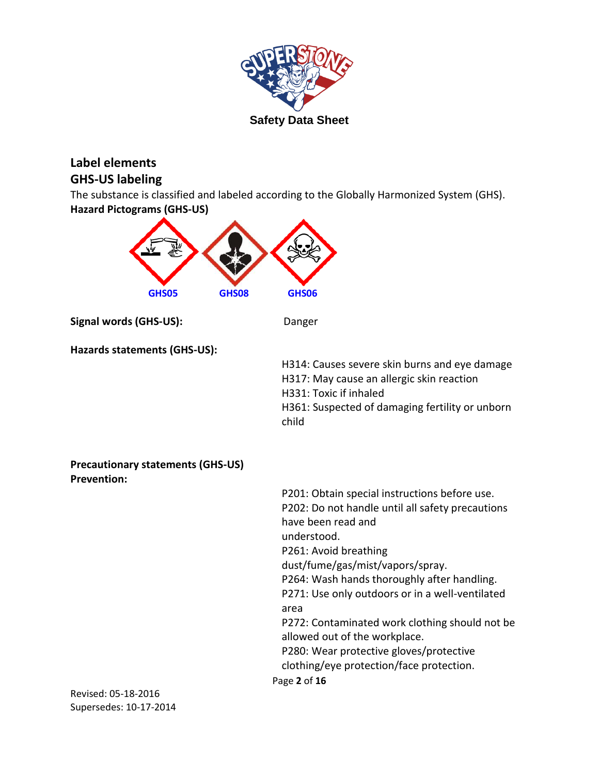

# **Label elements GHS-US labeling**

The substance is classified and labeled according to the Globally Harmonized System (GHS). **Hazard Pictograms (GHS-US)**



**Signal words (GHS-US):** Danger

**Hazards statements (GHS-US):**

H314: Causes severe skin burns and eye damage H317: May cause an allergic skin reaction H331: Toxic if inhaled H361: Suspected of damaging fertility or unborn child

### **Precautionary statements (GHS-US) Prevention:**

Page **2** of **16** P201: Obtain special instructions before use. P202: Do not handle until all safety precautions have been read and understood. P261: Avoid breathing dust/fume/gas/mist/vapors/spray. P264: Wash hands thoroughly after handling. P271: Use only outdoors or in a well-ventilated area P272: Contaminated work clothing should not be allowed out of the workplace. P280: Wear protective gloves/protective clothing/eye protection/face protection.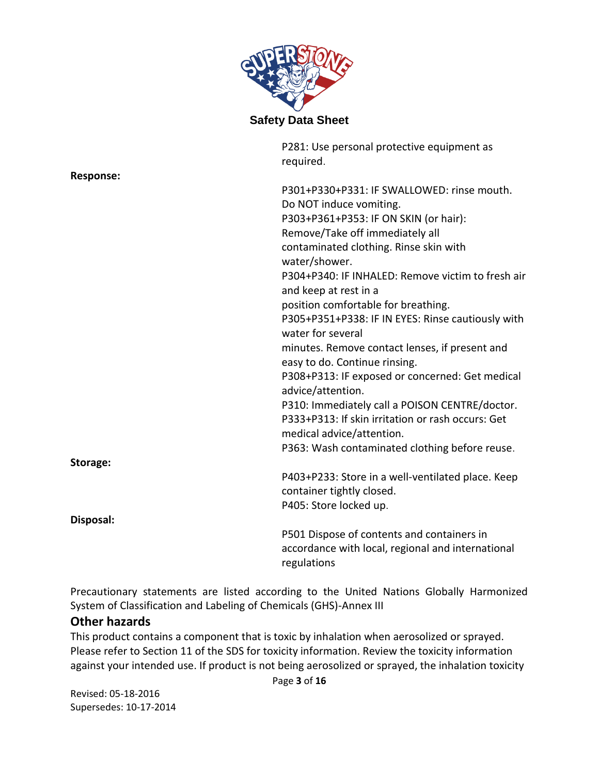|                  | <b>Safety Data Sheet</b>                                                        |  |  |  |
|------------------|---------------------------------------------------------------------------------|--|--|--|
|                  | P281: Use personal protective equipment as<br>required.                         |  |  |  |
| <b>Response:</b> |                                                                                 |  |  |  |
|                  | P301+P330+P331: IF SWALLOWED: rinse mouth.<br>Do NOT induce vomiting.           |  |  |  |
|                  | P303+P361+P353: IF ON SKIN (or hair):                                           |  |  |  |
|                  | Remove/Take off immediately all                                                 |  |  |  |
|                  | contaminated clothing. Rinse skin with                                          |  |  |  |
|                  | water/shower.                                                                   |  |  |  |
|                  | P304+P340: IF INHALED: Remove victim to fresh air                               |  |  |  |
|                  | and keep at rest in a                                                           |  |  |  |
|                  | position comfortable for breathing.                                             |  |  |  |
|                  | P305+P351+P338: IF IN EYES: Rinse cautiously with                               |  |  |  |
|                  | water for several                                                               |  |  |  |
|                  | minutes. Remove contact lenses, if present and<br>easy to do. Continue rinsing. |  |  |  |
|                  | P308+P313: IF exposed or concerned: Get medical                                 |  |  |  |
|                  | advice/attention.                                                               |  |  |  |
|                  | P310: Immediately call a POISON CENTRE/doctor.                                  |  |  |  |
|                  | P333+P313: If skin irritation or rash occurs: Get                               |  |  |  |
|                  | medical advice/attention.                                                       |  |  |  |
|                  | P363: Wash contaminated clothing before reuse.                                  |  |  |  |
| Storage:         |                                                                                 |  |  |  |
|                  | P403+P233: Store in a well-ventilated place. Keep                               |  |  |  |
|                  | container tightly closed.                                                       |  |  |  |
|                  | P405: Store locked up.                                                          |  |  |  |
| Disposal:        | P501 Dispose of contents and containers in                                      |  |  |  |
|                  | accordance with local, regional and international                               |  |  |  |
|                  | regulations                                                                     |  |  |  |

Precautionary statements are listed according to the United Nations Globally Harmonized System of Classification and Labeling of Chemicals (GHS)-Annex III

### **Other hazards**

This product contains a component that is toxic by inhalation when aerosolized or sprayed. Please refer to Section 11 of the SDS for toxicity information. Review the toxicity information against your intended use. If product is not being aerosolized or sprayed, the inhalation toxicity

Page **3** of **16**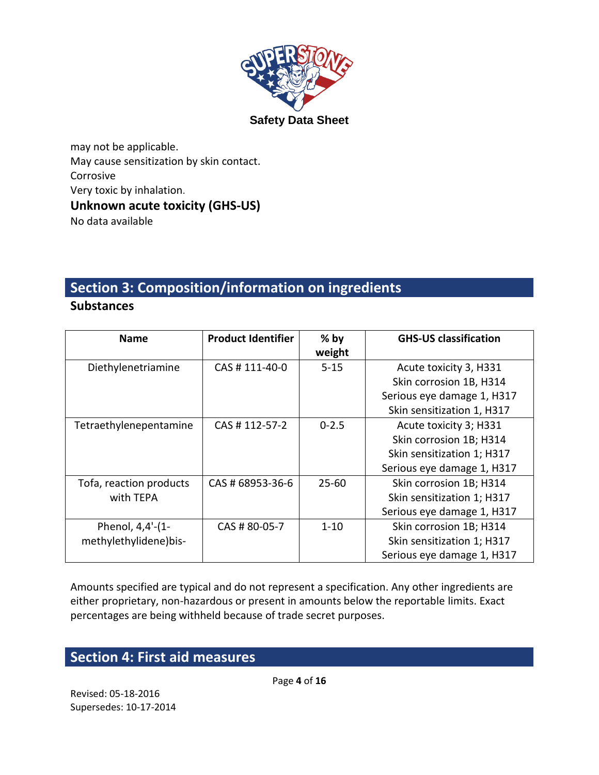

may not be applicable. May cause sensitization by skin contact. Corrosive Very toxic by inhalation. **Unknown acute toxicity (GHS-US)** No data available

# **Section 3: Composition/information on ingredients**

### **Substances**

| <b>Name</b>             | <b>Product Identifier</b> | $%$ by<br>weight | <b>GHS-US classification</b> |
|-------------------------|---------------------------|------------------|------------------------------|
| Diethylenetriamine      | CAS #111-40-0             | $5 - 15$         | Acute toxicity 3, H331       |
|                         |                           |                  | Skin corrosion 1B, H314      |
|                         |                           |                  | Serious eye damage 1, H317   |
|                         |                           |                  | Skin sensitization 1, H317   |
| Tetraethylenepentamine  | CAS # 112-57-2            | $0 - 2.5$        | Acute toxicity 3; H331       |
|                         |                           |                  | Skin corrosion 1B; H314      |
|                         |                           |                  | Skin sensitization 1; H317   |
|                         |                           |                  | Serious eye damage 1, H317   |
| Tofa, reaction products | CAS # 68953-36-6          | $25 - 60$        | Skin corrosion 1B; H314      |
| with TEPA               |                           |                  | Skin sensitization 1; H317   |
|                         |                           |                  | Serious eye damage 1, H317   |
| Phenol, 4,4'-(1-        | CAS # 80-05-7             | $1 - 10$         | Skin corrosion 1B; H314      |
| methylethylidene)bis-   |                           |                  | Skin sensitization 1; H317   |
|                         |                           |                  | Serious eye damage 1, H317   |

Amounts specified are typical and do not represent a specification. Any other ingredients are either proprietary, non-hazardous or present in amounts below the reportable limits. Exact percentages are being withheld because of trade secret purposes.

# **Section 4: First aid measures**

Revised: 05-18-2016 Supersedes: 10-17-2014 Page **4** of **16**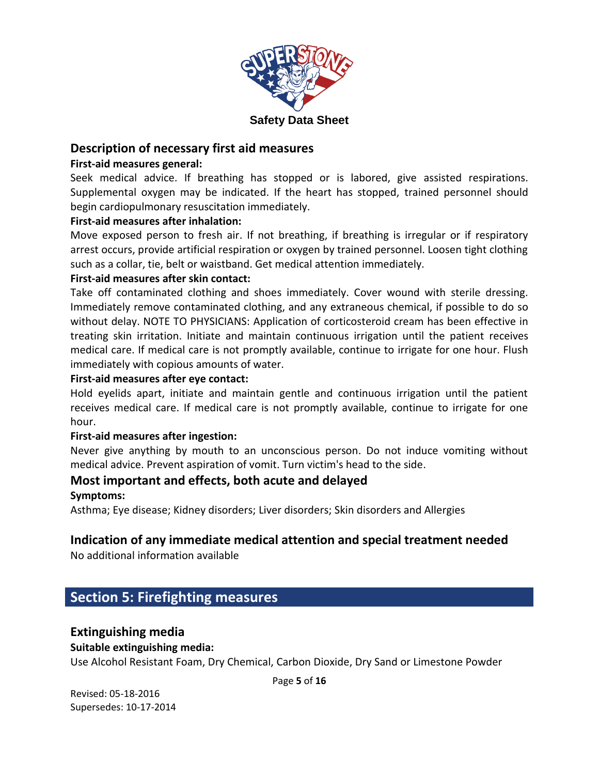

### **Description of necessary first aid measures**

#### **First-aid measures general:**

Seek medical advice. If breathing has stopped or is labored, give assisted respirations. Supplemental oxygen may be indicated. If the heart has stopped, trained personnel should begin cardiopulmonary resuscitation immediately.

#### **First-aid measures after inhalation:**

Move exposed person to fresh air. If not breathing, if breathing is irregular or if respiratory arrest occurs, provide artificial respiration or oxygen by trained personnel. Loosen tight clothing such as a collar, tie, belt or waistband. Get medical attention immediately.

#### **First-aid measures after skin contact:**

Take off contaminated clothing and shoes immediately. Cover wound with sterile dressing. Immediately remove contaminated clothing, and any extraneous chemical, if possible to do so without delay. NOTE TO PHYSICIANS: Application of corticosteroid cream has been effective in treating skin irritation. Initiate and maintain continuous irrigation until the patient receives medical care. If medical care is not promptly available, continue to irrigate for one hour. Flush immediately with copious amounts of water.

#### **First-aid measures after eye contact:**

Hold eyelids apart, initiate and maintain gentle and continuous irrigation until the patient receives medical care. If medical care is not promptly available, continue to irrigate for one hour.

#### **First-aid measures after ingestion:**

Never give anything by mouth to an unconscious person. Do not induce vomiting without medical advice. Prevent aspiration of vomit. Turn victim's head to the side.

# **Most important and effects, both acute and delayed**

#### **Symptoms:**

Asthma; Eye disease; Kidney disorders; Liver disorders; Skin disorders and Allergies

# **Indication of any immediate medical attention and special treatment needed**

No additional information available

# **Section 5: Firefighting measures**

### **Extinguishing media**

#### **Suitable extinguishing media:**

Use Alcohol Resistant Foam, Dry Chemical, Carbon Dioxide, Dry Sand or Limestone Powder

Page **5** of **16**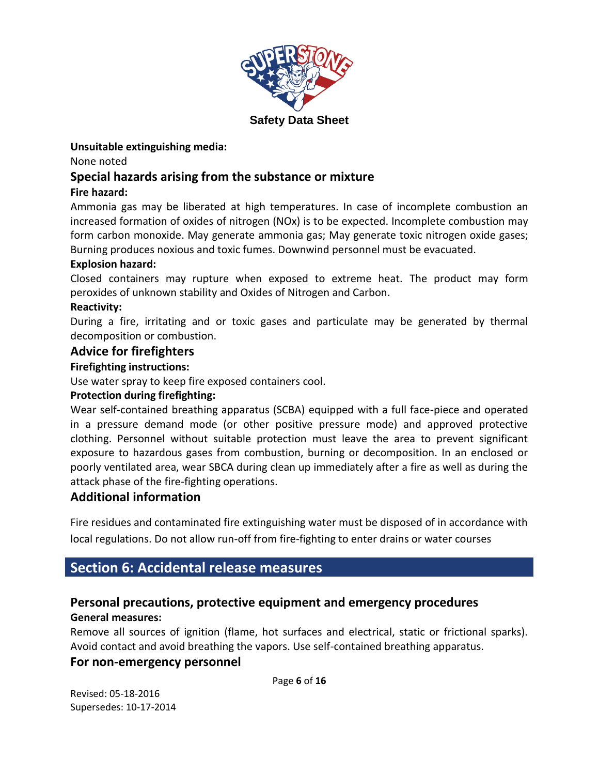

### **Unsuitable extinguishing media:**

None noted

# **Special hazards arising from the substance or mixture**

# **Fire hazard:**

Ammonia gas may be liberated at high temperatures. In case of incomplete combustion an increased formation of oxides of nitrogen (NOx) is to be expected. Incomplete combustion may form carbon monoxide. May generate ammonia gas; May generate toxic nitrogen oxide gases; Burning produces noxious and toxic fumes. Downwind personnel must be evacuated.

### **Explosion hazard:**

Closed containers may rupture when exposed to extreme heat. The product may form peroxides of unknown stability and Oxides of Nitrogen and Carbon.

### **Reactivity:**

During a fire, irritating and or toxic gases and particulate may be generated by thermal decomposition or combustion.

# **Advice for firefighters**

### **Firefighting instructions:**

Use water spray to keep fire exposed containers cool.

# **Protection during firefighting:**

Wear self-contained breathing apparatus (SCBA) equipped with a full face-piece and operated in a pressure demand mode (or other positive pressure mode) and approved protective clothing. Personnel without suitable protection must leave the area to prevent significant exposure to hazardous gases from combustion, burning or decomposition. In an enclosed or poorly ventilated area, wear SBCA during clean up immediately after a fire as well as during the attack phase of the fire-fighting operations.

# **Additional information**

Fire residues and contaminated fire extinguishing water must be disposed of in accordance with local regulations. Do not allow run-off from fire-fighting to enter drains or water courses

# **Section 6: Accidental release measures**

# **Personal precautions, protective equipment and emergency procedures General measures:**

Remove all sources of ignition (flame, hot surfaces and electrical, static or frictional sparks). Avoid contact and avoid breathing the vapors. Use self-contained breathing apparatus.

# **For non-emergency personnel**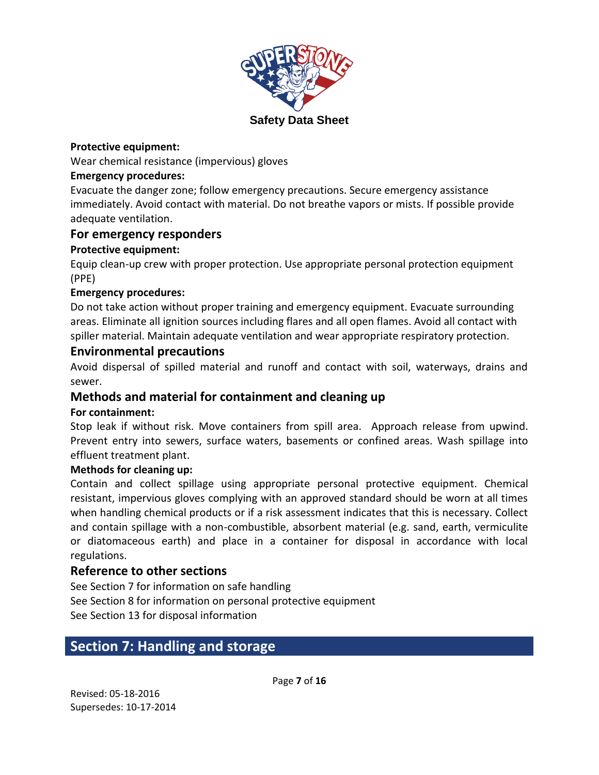

#### **Protective equipment:**

Wear chemical resistance (impervious) gloves

#### **Emergency procedures:**

Evacuate the danger zone; follow emergency precautions. Secure emergency assistance immediately. Avoid contact with material. Do not breathe vapors or mists. If possible provide adequate ventilation.

### **For emergency responders**

#### **Protective equipment:**

Equip clean-up crew with proper protection. Use appropriate personal protection equipment (PPE)

#### **Emergency procedures:**

Do not take action without proper training and emergency equipment. Evacuate surrounding areas. Eliminate all ignition sources including flares and all open flames. Avoid all contact with spiller material. Maintain adequate ventilation and wear appropriate respiratory protection.

### **Environmental precautions**

Avoid dispersal of spilled material and runoff and contact with soil, waterways, drains and sewer.

# **Methods and material for containment and cleaning up**

### **For containment:**

Stop leak if without risk. Move containers from spill area. Approach release from upwind. Prevent entry into sewers, surface waters, basements or confined areas. Wash spillage into effluent treatment plant.

#### **Methods for cleaning up:**

Contain and collect spillage using appropriate personal protective equipment. Chemical resistant, impervious gloves complying with an approved standard should be worn at all times when handling chemical products or if a risk assessment indicates that this is necessary. Collect and contain spillage with a non-combustible, absorbent material (e.g. sand, earth, vermiculite or diatomaceous earth) and place in a container for disposal in accordance with local regulations.

### **Reference to other sections**

See Section 7 for information on safe handling See Section 8 for information on personal protective equipment See Section 13 for disposal information

# **Section 7: Handling and storage**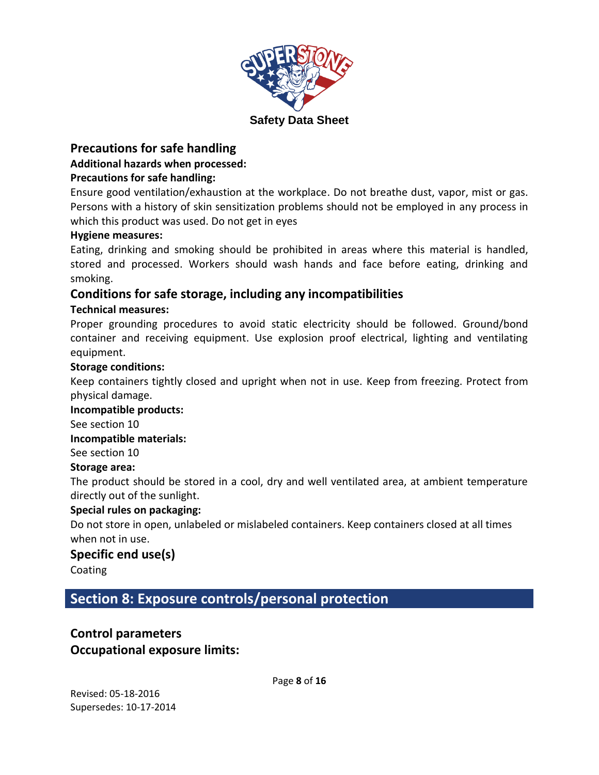

# **Precautions for safe handling Additional hazards when processed:**

### **Precautions for safe handling:**

Ensure good ventilation/exhaustion at the workplace. Do not breathe dust, vapor, mist or gas. Persons with a history of skin sensitization problems should not be employed in any process in which this product was used. Do not get in eyes

### **Hygiene measures:**

Eating, drinking and smoking should be prohibited in areas where this material is handled, stored and processed. Workers should wash hands and face before eating, drinking and smoking.

# **Conditions for safe storage, including any incompatibilities**

### **Technical measures:**

Proper grounding procedures to avoid static electricity should be followed. Ground/bond container and receiving equipment. Use explosion proof electrical, lighting and ventilating equipment.

#### **Storage conditions:**

Keep containers tightly closed and upright when not in use. Keep from freezing. Protect from physical damage.

### **Incompatible products:**

See section 10

### **Incompatible materials:**

See section 10

### **Storage area:**

The product should be stored in a cool, dry and well ventilated area, at ambient temperature directly out of the sunlight.

### **Special rules on packaging:**

Do not store in open, unlabeled or mislabeled containers. Keep containers closed at all times when not in use.

# **Specific end use(s)**

Coating

**Section 8: Exposure controls/personal protection**

# **Control parameters Occupational exposure limits:**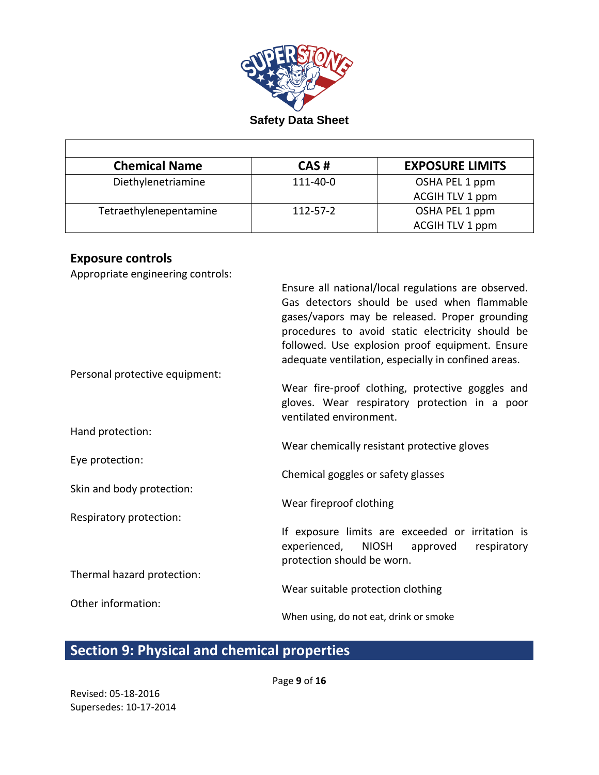

| <b>Chemical Name</b>   | CAS#     | <b>EXPOSURE LIMITS</b> |
|------------------------|----------|------------------------|
| Diethylenetriamine     | 111-40-0 | OSHA PEL 1 ppm         |
|                        |          | ACGIH TLV 1 ppm        |
| Tetraethylenepentamine | 112-57-2 | OSHA PEL 1 ppm         |
|                        |          | ACGIH TLV 1 ppm        |

### **Exposure controls**

Appropriate engineering controls:

|                                | Ensure all national/local regulations are observed.<br>Gas detectors should be used when flammable<br>gases/vapors may be released. Proper grounding       |
|--------------------------------|------------------------------------------------------------------------------------------------------------------------------------------------------------|
|                                | procedures to avoid static electricity should be<br>followed. Use explosion proof equipment. Ensure<br>adequate ventilation, especially in confined areas. |
| Personal protective equipment: |                                                                                                                                                            |
|                                | Wear fire-proof clothing, protective goggles and<br>gloves. Wear respiratory protection in a poor<br>ventilated environment.                               |
| Hand protection:               |                                                                                                                                                            |
|                                | Wear chemically resistant protective gloves                                                                                                                |
| Eye protection:                |                                                                                                                                                            |
|                                | Chemical goggles or safety glasses                                                                                                                         |
| Skin and body protection:      |                                                                                                                                                            |
|                                | Wear fireproof clothing                                                                                                                                    |
| Respiratory protection:        |                                                                                                                                                            |
|                                | If exposure limits are exceeded or irritation is<br>experienced, NIOSH<br>approved<br>respiratory<br>protection should be worn.                            |
| Thermal hazard protection:     |                                                                                                                                                            |
|                                | Wear suitable protection clothing                                                                                                                          |
| Other information:             |                                                                                                                                                            |
|                                | When using, do not eat, drink or smoke                                                                                                                     |

# **Section 9: Physical and chemical properties**

Revised: 05-18-2016 Supersedes: 10-17-2014 Page **9** of **16**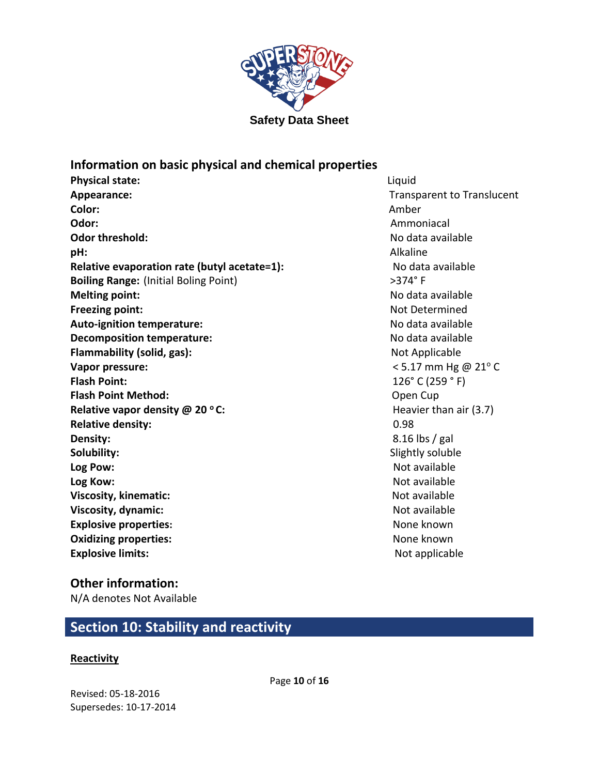

# **Information on basic physical and chemical properties Physical state:** Liquid **Physical state:** Liquid **Physical state:** Liquid **Liquid Appearance:** Transparent to Translucent to Translucent to Translucent to Translucent to Translucent to Translucent to Translucent to Translucent to Translucent to Translucent to Translucent to Translucent to Translucent t **Color:** Amber **Odor:** Ammoniacal **Odor threshold:** No data available and the state of the state of the state of the state of the state of the state of the state of the state of the state of the state of the state of the state of the state of the state of **pH:** Alkaline **Relative evaporation rate (butyl acetate=1):** No data available **Boiling Range:** (Initial Boling Point) >374° F **Melting point:**  $\blacksquare$  **Melting point:**  $\blacksquare$  **Melting point:**  $\blacksquare$  **Melting point:**  $\blacksquare$  **Melting point:**  $\blacksquare$ **Freezing point:** Not Determined **Auto-ignition temperature:** No data available **Decomposition temperature:** No data available **Flammability (solid, gas):** Not Applicable **Vapor pressure:**  $\leq 5.17$  mm Hg @ 21<sup>o</sup> C **Flash Point:** 126° C (259 ° F) **Flash Point Method:** Open Cup **Relative vapor density @ 20 °C: CONFINGUARY EXAMPLE READING HEAVIER (3.7)** Heavier than air (3.7) **Relative density:** 0.98 **Density:** 8.16 lbs / gal **Solubility:** Soluble Soluble Slightly soluble **Log Pow:** Not available the set of the set of the set of the set of the set of the set of the set of the set of the set of the set of the set of the set of the set of the set of the set of the set of the set of the set of **Log Kow:** Not available **Viscosity, kinematic:** Not available **Viscosity, dynamic:** Not available Not available **Explosive properties:** None known **Explosive properties:** None known **Oxidizing properties:** None known and the state of the state of the state of the state of the state of the state of the state of the state of the state of the state of the state of the state of the state of the state of t **Explosive limits:**  $\blacksquare$

# **Other information:**

N/A denotes Not Available

# **Section 10: Stability and reactivity**

### **Reactivity**

Revised: 05-18-2016 Supersedes: 10-17-2014 Page **10** of **16**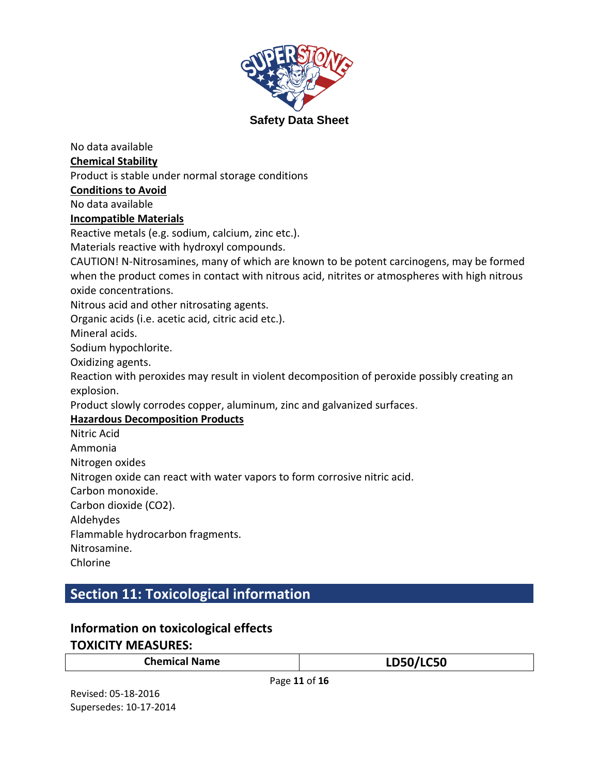

No data available **Chemical Stability** Product is stable under normal storage conditions **Conditions to Avoid**  No data available **Incompatible Materials** Reactive metals (e.g. sodium, calcium, zinc etc.). Materials reactive with hydroxyl compounds. CAUTION! N-Nitrosamines, many of which are known to be potent carcinogens, may be formed when the product comes in contact with nitrous acid, nitrites or atmospheres with high nitrous oxide concentrations. Nitrous acid and other nitrosating agents. Organic acids (i.e. acetic acid, citric acid etc.). Mineral acids. Sodium hypochlorite. Oxidizing agents. Reaction with peroxides may result in violent decomposition of peroxide possibly creating an explosion. Product slowly corrodes copper, aluminum, zinc and galvanized surfaces. **Hazardous Decomposition Products** Nitric Acid Ammonia Nitrogen oxides Nitrogen oxide can react with water vapors to form corrosive nitric acid. Carbon monoxide. Carbon dioxide (CO2). Aldehydes Flammable hydrocarbon fragments. Nitrosamine. Chlorine

# **Section 11: Toxicological information**

# **Information on toxicological effects TOXICITY MEASURES:**

| <b>Chemical Name</b> | <b>LD50/LC50</b> |
|----------------------|------------------|
|                      |                  |

Page **11** of **16**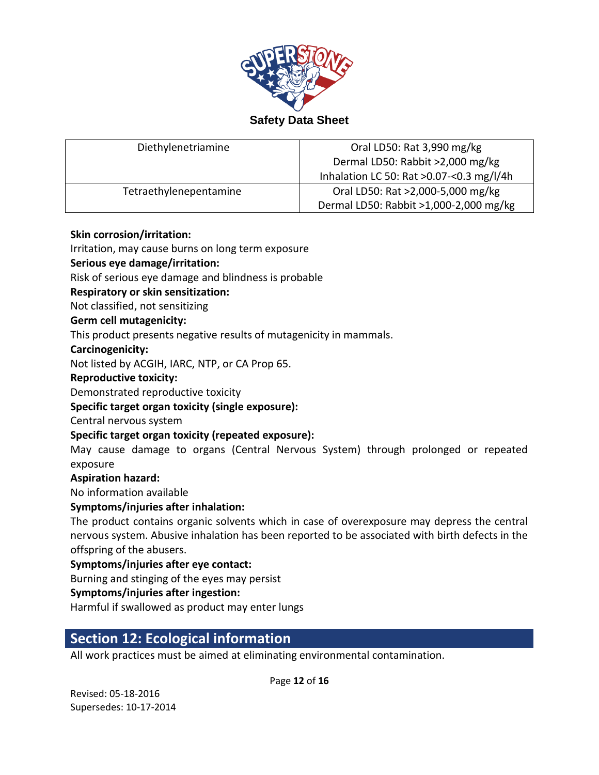

| Diethylenetriamine     | Oral LD50: Rat 3,990 mg/kg<br>Dermal LD50: Rabbit >2,000 mg/kg |
|------------------------|----------------------------------------------------------------|
|                        | Inhalation LC 50: Rat > 0.07 - < 0.3 mg/l/4h                   |
| Tetraethylenepentamine | Oral LD50: Rat >2,000-5,000 mg/kg                              |
|                        | Dermal LD50: Rabbit >1,000-2,000 mg/kg                         |

#### **Skin corrosion/irritation:**

Irritation, may cause burns on long term exposure

#### **Serious eye damage/irritation:**

Risk of serious eye damage and blindness is probable

#### **Respiratory or skin sensitization:**

Not classified, not sensitizing

#### **Germ cell mutagenicity:**

This product presents negative results of mutagenicity in mammals.

#### **Carcinogenicity:**

Not listed by ACGIH, IARC, NTP, or CA Prop 65.

#### **Reproductive toxicity:**

Demonstrated reproductive toxicity

#### **Specific target organ toxicity (single exposure):**

Central nervous system

### **Specific target organ toxicity (repeated exposure):**

May cause damage to organs (Central Nervous System) through prolonged or repeated exposure

#### **Aspiration hazard:**

No information available

### **Symptoms/injuries after inhalation:**

The product contains organic solvents which in case of overexposure may depress the central nervous system. Abusive inhalation has been reported to be associated with birth defects in the offspring of the abusers.

#### **Symptoms/injuries after eye contact:**

Burning and stinging of the eyes may persist

### **Symptoms/injuries after ingestion:**

Harmful if swallowed as product may enter lungs

# **Section 12: Ecological information**

All work practices must be aimed at eliminating environmental contamination.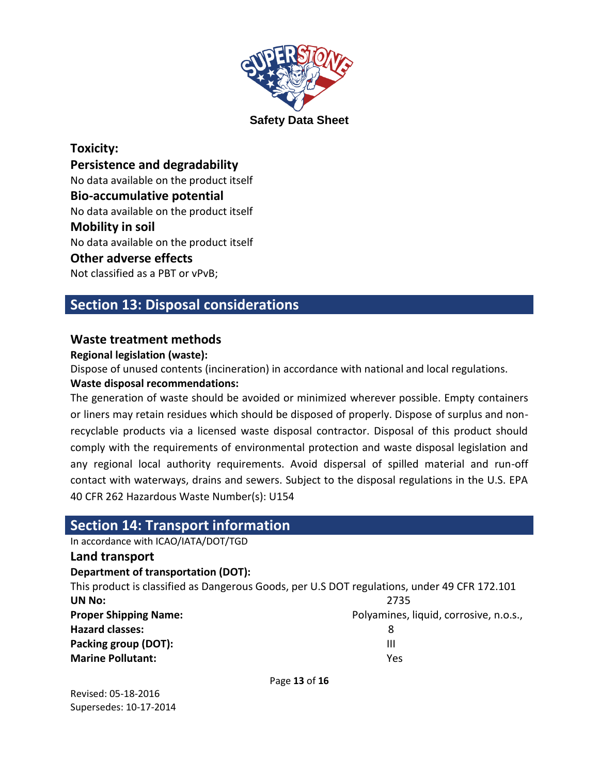

### **Toxicity:**

**Persistence and degradability** No data available on the product itself **Bio-accumulative potential** No data available on the product itself **Mobility in soil** No data available on the product itself **Other adverse effects** Not classified as a PBT or vPvB;

# **Section 13: Disposal considerations**

# **Waste treatment methods**

#### **Regional legislation (waste):**

Dispose of unused contents (incineration) in accordance with national and local regulations.

#### **Waste disposal recommendations:**

The generation of waste should be avoided or minimized wherever possible. Empty containers or liners may retain residues which should be disposed of properly. Dispose of surplus and nonrecyclable products via a licensed waste disposal contractor. Disposal of this product should comply with the requirements of environmental protection and waste disposal legislation and any regional local authority requirements. Avoid dispersal of spilled material and run-off contact with waterways, drains and sewers. Subject to the disposal regulations in the U.S. EPA 40 CFR 262 Hazardous Waste Number(s): U154

# **Section 14: Transport information**

In accordance with ICAO/IATA/DOT/TGD

#### **Land transport**

#### **Department of transportation (DOT):**

This product is classified as Dangerous Goods, per U.S DOT regulations, under 49 CFR 172.101 **UN No:** 2735 **Proper Shipping Name:** Name: All the Polyamines, liquid, corrosive, n.o.s., **Hazard classes:** 8 **Packing group (DOT):** III **Marine Pollutant:** Yes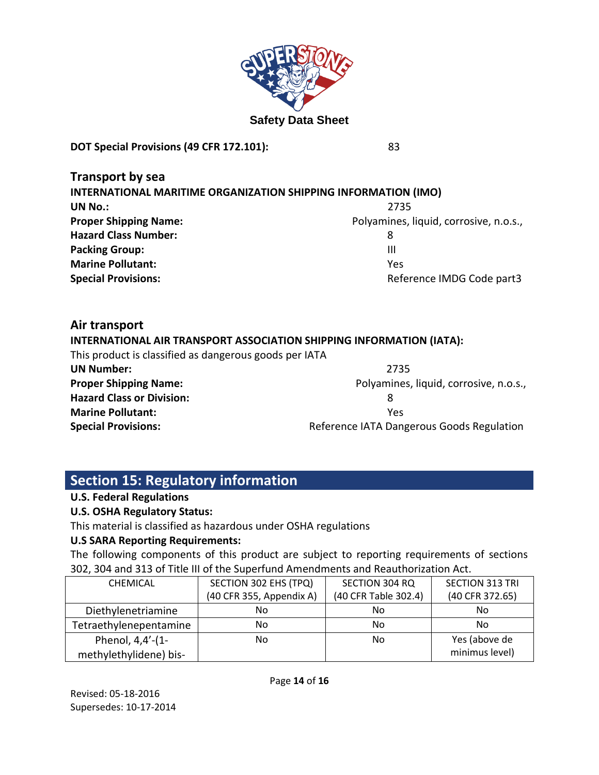

**DOT Special Provisions (49 CFR 172.101):** 83

**Transport by sea INTERNATIONAL MARITIME ORGANIZATION SHIPPING INFORMATION (IMO) UN No.:** 2735 **Proper Shipping Name:** Proper Shipping Name: Polyamines, liquid, corrosive, n.o.s., **Hazard Class Number:** 8 **Packing Group:** III **Marine Pollutant:** Yes **Special Provisions:**  $\qquad \qquad$  Reference IMDG Code part3

### **Air transport INTERNATIONAL AIR TRANSPORT ASSOCIATION SHIPPING INFORMATION (IATA):** This product is classified as dangerous goods per IATA **UN Number:** 2735

**Proper Shipping Name:** Proper Shipping Name: The State of Polyamines, liquid, corrosive, n.o.s., **Hazard Class or Division:** 8 **Marine Pollutant:** Yes **Special Provisions:** The Reference IATA Dangerous Goods Regulation

# **Section 15: Regulatory information**

# **U.S. Federal Regulations**

# **U.S. OSHA Regulatory Status:**

This material is classified as hazardous under OSHA regulations

# **U.S SARA Reporting Requirements:**

The following components of this product are subject to reporting requirements of sections 302, 304 and 313 of Title III of the Superfund Amendments and Reauthorization Act.

| <b>CHEMICAL</b>        | SECTION 302 EHS (TPQ)    | SECTION 304 RQ       | <b>SECTION 313 TRI</b> |
|------------------------|--------------------------|----------------------|------------------------|
|                        | (40 CFR 355, Appendix A) | (40 CFR Table 302.4) | (40 CFR 372.65)        |
| Diethylenetriamine     | No                       | No                   | No                     |
| Tetraethylenepentamine | No                       | No.                  | No                     |
| Phenol, 4,4'-(1-       | No                       | No                   | Yes (above de          |
| methylethylidene) bis- |                          |                      | minimus level)         |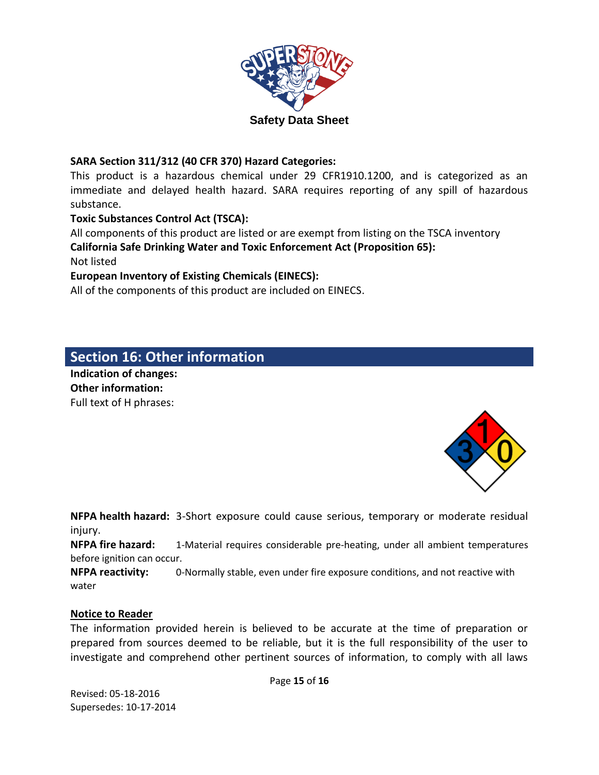

#### **SARA Section 311/312 (40 CFR 370) Hazard Categories:**

This product is a hazardous chemical under 29 CFR1910.1200, and is categorized as an immediate and delayed health hazard. SARA requires reporting of any spill of hazardous substance.

### **Toxic Substances Control Act (TSCA):**

All components of this product are listed or are exempt from listing on the TSCA inventory **California Safe Drinking Water and Toxic Enforcement Act (Proposition 65):**

Not listed

**European Inventory of Existing Chemicals (EINECS):**

All of the components of this product are included on EINECS.

# **Section 16: Other information**

**Indication of changes: Other information:** Full text of H phrases:



**NFPA health hazard:** 3-Short exposure could cause serious, temporary or moderate residual injury.

**NFPA fire hazard:** 1-Material requires considerable pre-heating, under all ambient temperatures before ignition can occur.

**NFPA reactivity:** 0-Normally stable, even under fire exposure conditions, and not reactive with water

#### **Notice to Reader**

The information provided herein is believed to be accurate at the time of preparation or prepared from sources deemed to be reliable, but it is the full responsibility of the user to investigate and comprehend other pertinent sources of information, to comply with all laws